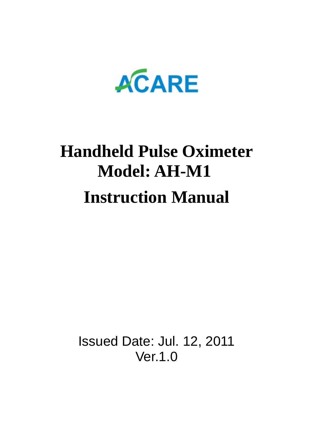

# **Handheld Pulse Oximeter Model: AH-M1 Instruction Manual**

Issued Date: Jul. 12, 2011 Ver.1.0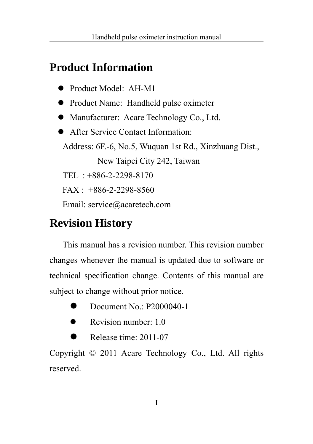### **Product Information**

- Product Model: AH-M1
- Product Name: Handheld pulse oximeter
- Manufacturer: Acare Technology Co., Ltd.
- **•** After Service Contact Information:

Address: 6F.-6, No.5, Wuquan 1st Rd., Xinzhuang Dist.,

New Taipei City 242, Taiwan

TEL : +886-2-2298-8170

FAX : +886-2-2298-8560

Email: service@acaretech.com

### **Revision History**

This manual has a revision number. This revision number changes whenever the manual is updated due to software or technical specification change. Contents of this manual are subject to change without prior notice.

- $\bullet$  Document No.: P2000040-1
- $\bullet$  Revision number: 1.0
- $\bullet$  Release time: 2011-07

Copyright © 2011 Acare Technology Co., Ltd. All rights reserved.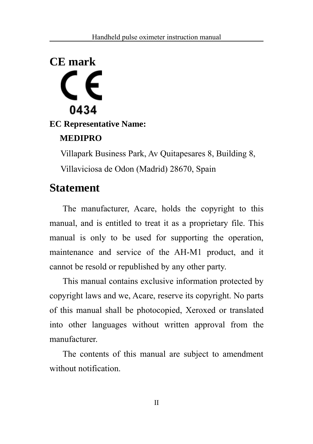# **CE mark** 0434

**EC Representative Name: MEDIPRO** 

> Villapark Business Park, Av Quitapesares 8, Building 8, Villaviciosa de Odon (Madrid) 28670, Spain

### **Statement**

The manufacturer, Acare, holds the copyright to this manual, and is entitled to treat it as a proprietary file. This manual is only to be used for supporting the operation, maintenance and service of the AH-M1 product, and it cannot be resold or republished by any other party.

This manual contains exclusive information protected by copyright laws and we, Acare, reserve its copyright. No parts of this manual shall be photocopied, Xeroxed or translated into other languages without written approval from the manufacturer.

The contents of this manual are subject to amendment without notification.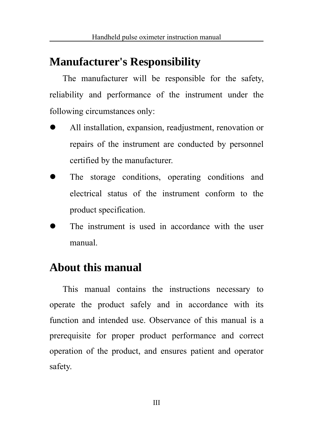### **Manufacturer's Responsibility**

The manufacturer will be responsible for the safety, reliability and performance of the instrument under the following circumstances only:

- All installation, expansion, readjustment, renovation or repairs of the instrument are conducted by personnel certified by the manufacturer.
- The storage conditions, operating conditions and electrical status of the instrument conform to the product specification.
- The instrument is used in accordance with the user manual.

### **About this manual**

This manual contains the instructions necessary to operate the product safely and in accordance with its function and intended use. Observance of this manual is a prerequisite for proper product performance and correct operation of the product, and ensures patient and operator safety.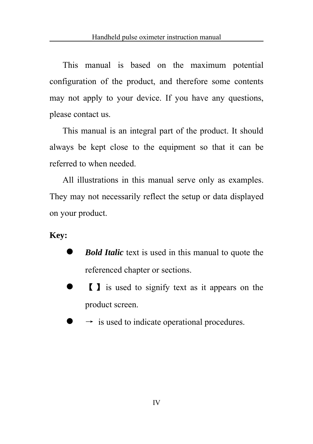This manual is based on the maximum potential configuration of the product, and therefore some contents may not apply to your device. If you have any questions, please contact us.

This manual is an integral part of the product. It should always be kept close to the equipment so that it can be referred to when needed.

All illustrations in this manual serve only as examples. They may not necessarily reflect the setup or data displayed on your product.

#### **Key:**

- **Bold Italic** text is used in this manual to quote the referenced chapter or sections.
- **I** is used to signify text as it appears on the product screen.
- $\rightarrow$  is used to indicate operational procedures.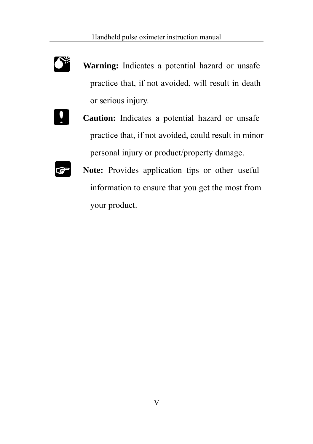

**Warning:** Indicates a potential hazard or unsafe practice that, if not avoided, will result in death or serious injury.



**Caution:** Indicates a potential hazard or unsafe practice that, if not avoided, could result in minor personal injury or product/property damage.



**Note:** Provides application tips or other useful information to ensure that you get the most from your product.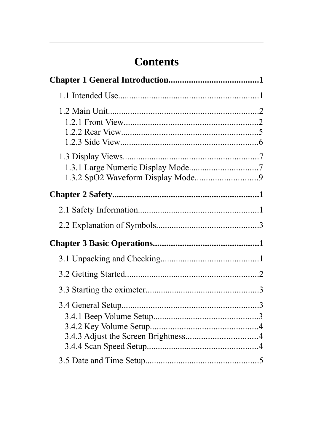### **Contents**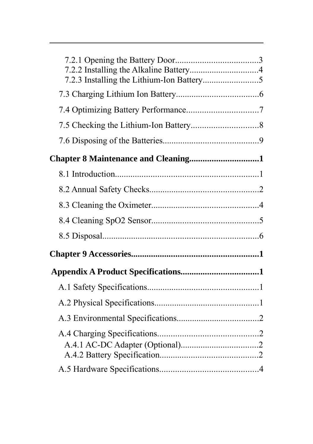| Chapter 8 Maintenance and Cleaning1 |  |
|-------------------------------------|--|
|                                     |  |
|                                     |  |
|                                     |  |
|                                     |  |
|                                     |  |
|                                     |  |
|                                     |  |
|                                     |  |
|                                     |  |
|                                     |  |
|                                     |  |
|                                     |  |
|                                     |  |
|                                     |  |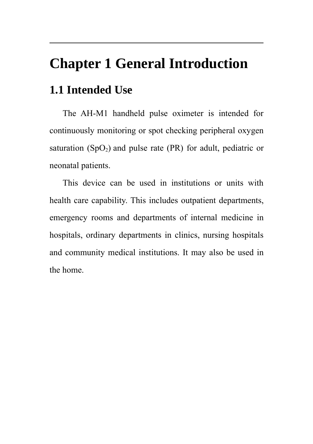### **Chapter 1 General Introduction**

### **1.1 Intended Use**

The AH-M1 handheld pulse oximeter is intended for continuously monitoring or spot checking peripheral oxygen saturation  $(SpO<sub>2</sub>)$  and pulse rate (PR) for adult, pediatric or neonatal patients.

This device can be used in institutions or units with health care capability. This includes outpatient departments, emergency rooms and departments of internal medicine in hospitals, ordinary departments in clinics, nursing hospitals and community medical institutions. It may also be used in the home.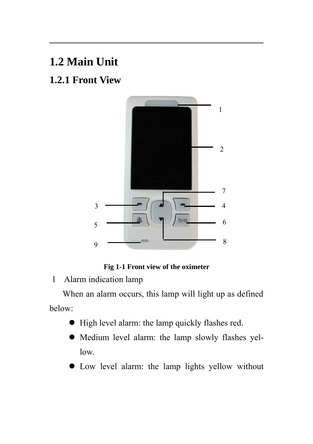### **1.2 Main Unit**

### **1.2.1 Front View**





1 Alarm indication lamp

When an alarm occurs, this lamp will light up as defined below:

- $\bullet$  High level alarm: the lamp quickly flashes red.
- $\bullet$  Medium level alarm: the lamp slowly flashes yellow.
- $\bullet$  Low level alarm: the lamp lights yellow without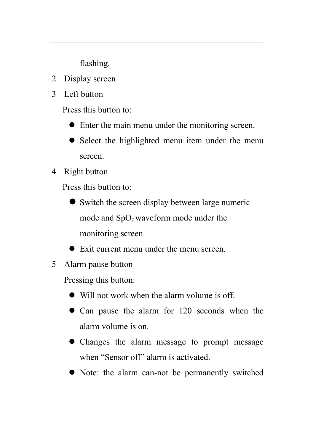flashing.

- 2 Display screen
- 3 Left button

Press this button to:

- $\bullet$  Enter the main menu under the monitoring screen.
- Select the highlighted menu item under the menu screen.
- 4 Right button

Press this button to:

- $\bullet$  Switch the screen display between large numeric mode and  $SpO<sub>2</sub>$  waveform mode under the monitoring screen.
- $\bullet$  Exit current menu under the menu screen.
- 5 Alarm pause button

Pressing this button:

- $\bullet$  Will not work when the alarm volume is off.
- Can pause the alarm for 120 seconds when the alarm volume is on.
- Changes the alarm message to prompt message when "Sensor off" alarm is activated.
- Note: the alarm can-not be permanently switched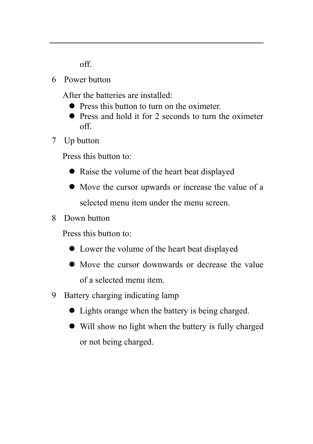off.

6 Power button

After the batteries are installed:

- Press this button to turn on the oximeter.
- $\bullet$  Press and hold it for 2 seconds to turn the oximeter off.
- 7 Up button

Press this button to:

- Raise the volume of the heart beat displayed
- Move the cursor upwards or increase the value of a selected menu item under the menu screen.
- 8 Down button

Press this button to:

- $\bullet$  Lower the volume of the heart beat displayed
- Move the cursor downwards or decrease the value of a selected menu item.
- 9 Battery charging indicating lamp
	- Lights orange when the battery is being charged.
	- Will show no light when the battery is fully charged or not being charged.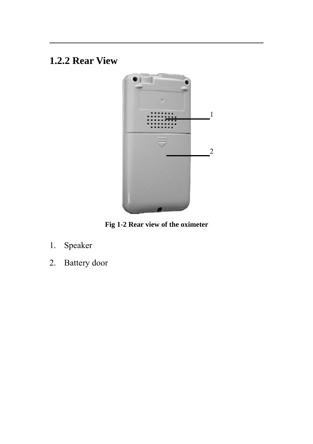### **1.2.2 Rear View**



**Fig 1-2 Rear view of the oximeter**

- 1. Speaker
- 2. Battery door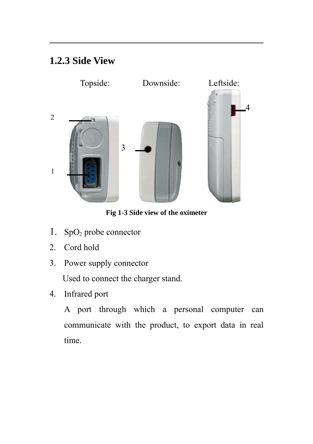### **1.2.3 Side View**



**Fig 1-3 Side view of the oximeter**

- 1.  $SpO<sub>2</sub>$  probe connector
- 2. Cord hold
- 3. Power supply connector

Used to connect the charger stand.

4. Infrared port

A port through which a personal computer can communicate with the product, to export data in real time.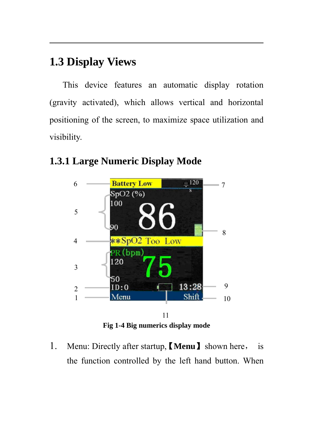### **1.3 Display Views**

This device features an automatic display rotation (gravity activated), which allows vertical and horizontal positioning of the screen, to maximize space utilization and visibility.



### **1.3.1 Large Numeric Display Mode**

1. Menu: Directly after startup, 【**Menu**】shown here, is the function controlled by the left hand button. When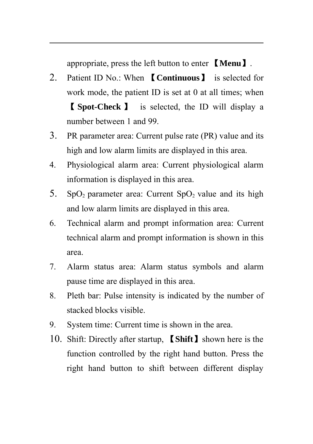appropriate, press the left button to enter 【**Menu**】.

- 2. Patient ID No.: When 【**Continuous**】 is selected for work mode, the patient ID is set at 0 at all times; when 【 **Spot-Check** 】 is selected, the ID will display a number between 1 and 99.
- 3. PR parameter area: Current pulse rate (PR) value and its high and low alarm limits are displayed in this area.
- 4. Physiological alarm area: Current physiological alarm information is displayed in this area.
- 5. SpO<sub>2</sub> parameter area: Current SpO<sub>2</sub> value and its high and low alarm limits are displayed in this area.
- 6. Technical alarm and prompt information area: Current technical alarm and prompt information is shown in this area.
- 7. Alarm status area: Alarm status symbols and alarm pause time are displayed in this area.
- 8. Pleth bar: Pulse intensity is indicated by the number of stacked blocks visible.
- 9. System time: Current time is shown in the area.
- 10. Shift: Directly after startup, 【**Shift**】shown here is the function controlled by the right hand button. Press the right hand button to shift between different display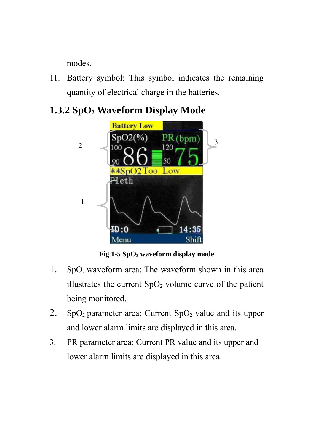modes.

- 11. Battery symbol: This symbol indicates the remaining quantity of electrical charge in the batteries.
- **1.3.2 SpO2 Waveform Display Mode**



Fig 1-5 SpO<sub>2</sub> waveform display mode

- 1.  $SpO<sub>2</sub>$  waveform area: The waveform shown in this area illustrates the current  $SpO<sub>2</sub>$  volume curve of the patient being monitored.
- 2.  $SpO<sub>2</sub>$  parameter area: Current  $SpO<sub>2</sub>$  value and its upper and lower alarm limits are displayed in this area.
- 3. PR parameter area: Current PR value and its upper and lower alarm limits are displayed in this area.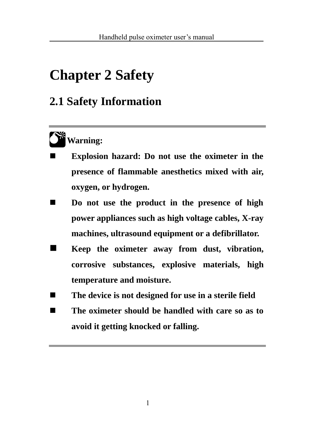# **Chapter 2 Safety**

### **2.1 Safety Information**



- **Explosion hazard: Do not use the oximeter in the presence of flammable anesthetics mixed with air, oxygen, or hydrogen.**
- Do not use the product in the presence of high **power appliances such as high voltage cables, X-ray machines, ultrasound equipment or a defibrillator.**
- **Keep the oximeter away from dust, vibration, corrosive substances, explosive materials, high temperature and moisture.**
- The device is not designed for use in a sterile field
- The oximeter should be handled with care so as to **avoid it getting knocked or falling.**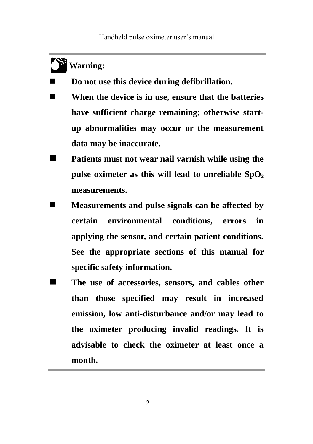### **Warning:**

**0\*** 

**Do not use this device during defibrillation.**

- When the device is in use, ensure that the batteries **have sufficient charge remaining; otherwise startup abnormalities may occur or the measurement data may be inaccurate.**
- **Patients must not wear nail varnish while using the** pulse oximeter as this will lead to unreliable  $SpO<sub>2</sub>$ **measurements.**
- **Measurements and pulse signals can be affected by certain environmental conditions, errors in applying the sensor, and certain patient conditions. See the appropriate sections of this manual for specific safety information.**
- The use of accessories, sensors, and cables other **than those specified may result in increased emission, low anti-disturbance and/or may lead to the oximeter producing invalid readings. It is advisable to check the oximeter at least once a month.**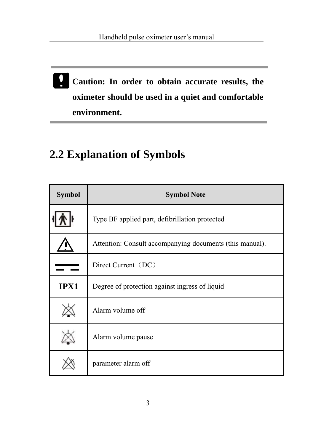**Caution: In order to obtain accurate results, the oximeter should be used in a quiet and comfortable environment.**

### **2.2 Explanation of Symbols**

| <b>Symbol</b> | <b>Symbol Note</b>                                       |
|---------------|----------------------------------------------------------|
|               | Type BF applied part, defibrillation protected           |
|               | Attention: Consult accompanying documents (this manual). |
|               | Direct Current (DC)                                      |
| IPX1          | Degree of protection against ingress of liquid           |
|               | Alarm volume off                                         |
|               | Alarm volume pause                                       |
|               | parameter alarm off                                      |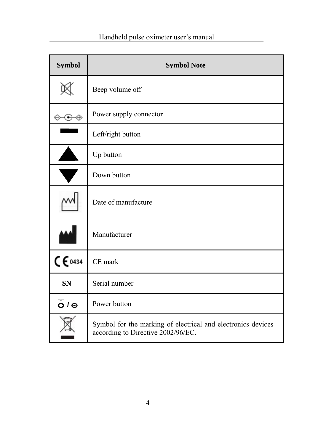| Symbol                   | <b>Symbol Note</b>                                                                                 |
|--------------------------|----------------------------------------------------------------------------------------------------|
|                          | Beep volume off                                                                                    |
| $\odot \oplus$           | Power supply connector                                                                             |
|                          | Left/right button                                                                                  |
|                          | Up button                                                                                          |
| $\blacksquare$           | Down button                                                                                        |
|                          | Date of manufacture                                                                                |
|                          | Manufacturer                                                                                       |
| C 6434                   | CE mark                                                                                            |
| <b>SN</b>                | Serial number                                                                                      |
| $\overline{O}$ $I \odot$ | Power button                                                                                       |
|                          | Symbol for the marking of electrical and electronics devices<br>according to Directive 2002/96/EC. |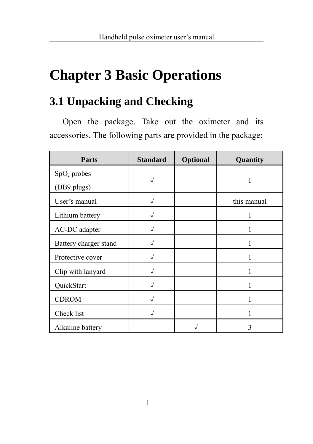# **Chapter 3 Basic Operations**

### **3.1 Unpacking and Checking**

Open the package. Take out the oximeter and its accessories. The following parts are provided in the package:

| Parts                        | <b>Standard</b> | Optional | Quantity    |
|------------------------------|-----------------|----------|-------------|
| $SpO2$ probes<br>(DB9 plugs) |                 |          |             |
| User's manual                |                 |          | this manual |
| Lithium battery              |                 |          |             |
| AC-DC adapter                |                 |          |             |
| Battery charger stand        |                 |          |             |
| Protective cover             |                 |          |             |
| Clip with lanyard            |                 |          |             |
| QuickStart                   |                 |          |             |
| <b>CDROM</b>                 |                 |          |             |
| Check list                   |                 |          |             |
| Alkaline battery             |                 |          |             |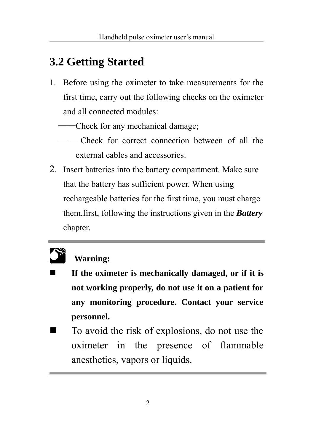### **3.2 Getting Started**

- 1. Before using the oximeter to take measurements for the first time, carry out the following checks on the oximeter and all connected modules:
	- ——Check for any mechanical damage;
	- — Check for correct connection between of all the external cables and accessories.
- 2. Insert batteries into the battery compartment. Make sure that the battery has sufficient power. When using rechargeable batteries for the first time, you must charge them,first, following the instructions given in the *Battery*  chapter.

# **0\***

### **Warning:**

- **If the oximeter is mechanically damaged, or if it is not working properly, do not use it on a patient for any monitoring procedure. Contact your service personnel.**
- To avoid the risk of explosions, do not use the oximeter in the presence of flammable anesthetics, vapors or liquids.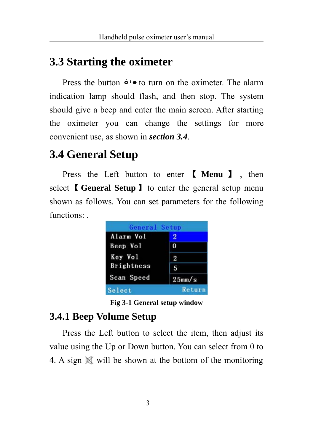### **3.3 Starting the oximeter**

Press the button  $\bullet \bullet$  to turn on the oximeter. The alarm indication lamp should flash, and then stop. The system should give a beep and enter the main screen. After starting the oximeter you can change the settings for more convenient use, as shown in *section 3.4*.

### **3.4 General Setup**

Press the Left button to enter 【 **Menu** 】 , then select 【**General Setup**】to enter the general setup menu shown as follows. You can set parameters for the following functions:



**Fig 3-1 General setup window**

### **3.4.1 Beep Volume Setup**

Press the Left button to select the item, then adjust its value using the Up or Down button. You can select from 0 to 4. A sign  $\mathbb{X}$  will be shown at the bottom of the monitoring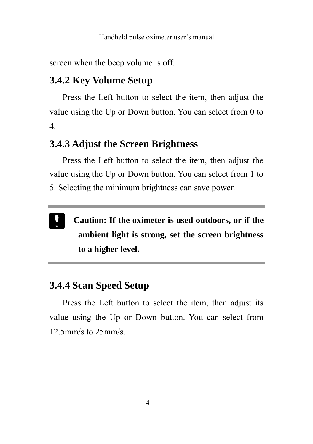screen when the beep volume is off.

### **3.4.2 Key Volume Setup**

Press the Left button to select the item, then adjust the value using the Up or Down button. You can select from 0 to 4.

### **3.4.3 Adjust the Screen Brightness**

Press the Left button to select the item, then adjust the value using the Up or Down button. You can select from 1 to 5. Selecting the minimum brightness can save power.

 **Caution: If the oximeter is used outdoors, or if the ambient light is strong, set the screen brightness to a higher level.**

### **3.4.4 Scan Speed Setup**

Press the Left button to select the item, then adjust its value using the Up or Down button. You can select from 12.5mm/s to 25mm/s.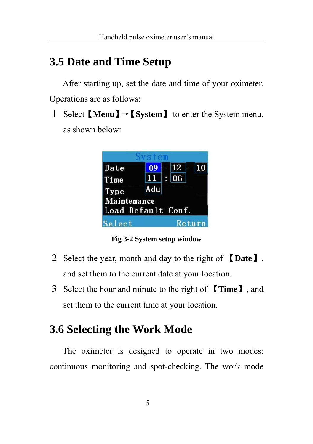### **3.5 Date and Time Setup**

After starting up, set the date and time of your oximeter. Operations are as follows:

1 Select 【**Menu**】→【**System**】 to enter the System menu,

as shown below:



**Fig 3-2 System setup window**

- 2 Select the year, month and day to the right of 【**Date**】, and set them to the current date at your location.
- 3 Select the hour and minute to the right of 【**Time**】, and set them to the current time at your location.

### **3.6 Selecting the Work Mode**

The oximeter is designed to operate in two modes: continuous monitoring and spot-checking. The work mode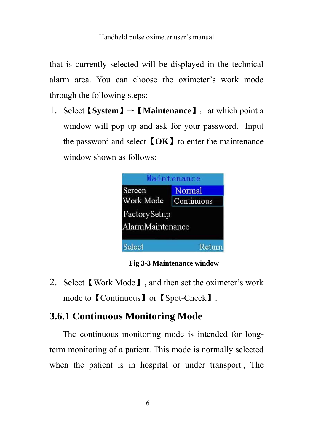that is currently selected will be displayed in the technical alarm area. You can choose the oximeter's work mode through the following steps:

1. Select【**System**】→【**Maintenance**】,at which point a window will pop up and ask for your password. Input the password and select【**OK**】to enter the maintenance window shown as follows:

| Screen           | Normal     |
|------------------|------------|
| Work Mode        | Continuous |
| FactorySetup     |            |
| AlarmMaintenance |            |

**Fig 3-3 Maintenance window**

2. Select【Work Mode】, and then set the oximeter's work mode to【Continuous】or【Spot-Check】.

### **3.6.1 Continuous Monitoring Mode**

The continuous monitoring mode is intended for longterm monitoring of a patient. This mode is normally selected when the patient is in hospital or under transport., The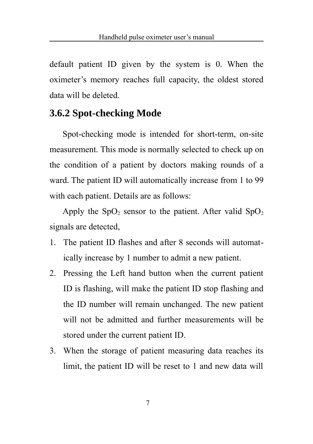default patient ID given by the system is 0. When the oximeter's memory reaches full capacity, the oldest stored data will be deleted.

### **3.6.2 Spot-checking Mode**

Spot-checking mode is intended for short-term, on-site measurement. This mode is normally selected to check up on the condition of a patient by doctors making rounds of a ward. The patient ID will automatically increase from 1 to 99 with each patient. Details are as follows:

Apply the  $SpO<sub>2</sub>$  sensor to the patient. After valid  $SpO<sub>2</sub>$ signals are detected,

- 1. The patient ID flashes and after 8 seconds will automatically increase by 1 number to admit a new patient.
- 2. Pressing the Left hand button when the current patient ID is flashing, will make the patient ID stop flashing and the ID number will remain unchanged. The new patient will not be admitted and further measurements will be stored under the current patient ID.
- 3. When the storage of patient measuring data reaches its limit, the patient ID will be reset to 1 and new data will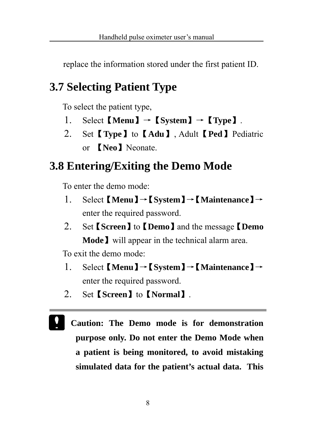replace the information stored under the first patient ID.

### **3.7 Selecting Patient Type**

To select the patient type,

- 1. Select  $[\text{Menu}] \rightarrow [\text{System}] \rightarrow [\text{Type}]$ .
- 2. Set【**Type**】to【**Adu**】, Adult【**Ped**】Pediatric or 【**Neo**】Neonate.

### **3.8 Entering/Exiting the Demo Mode**

To enter the demo mode:

- 1. Select 【**Menu**】→【**System**】→【**Maintenance**】→ enter the required password.
- 2. Set【**Screen**】to【**Demo**】and the message【**Demo Mode**】will appear in the technical alarm area.

To exit the demo mode:

- 1. Select 【**Menu**】→【**System**】→【**Maintenance**】→ enter the required password.
- 2. Set【**Screen**】to【**Normal**】.
- **Caution: The Demo mode is for demonstration purpose only. Do not enter the Demo Mode when a patient is being monitored, to avoid mistaking simulated data for the patient's actual data. This**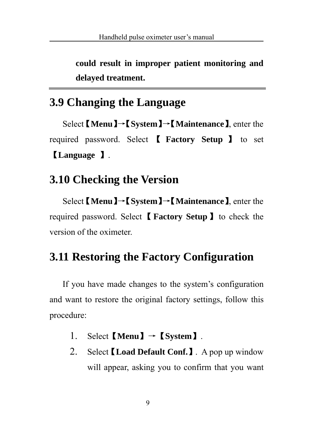**could result in improper patient monitoring and delayed treatment.**

### **3.9 Changing the Language**

Select 【**Menu**】→【**System**】→【**Maintenance**】, enter the required password. Select 【 **Factory Setup** 】 to set 【**Language** 】.

### **3.10 Checking the Version**

Select 【**Menu**】→【**System**】→【**Maintenance**】, enter the required password. Select【**Factory Setup**】to check the version of the oximeter.

### **3.11 Restoring the Factory Configuration**

If you have made changes to the system's configuration and want to restore the original factory settings, follow this procedure:

- 1. Select【**Menu**】→【**System**】.
- 2. Select【**Load Default Conf.**】. A pop up window will appear, asking you to confirm that you want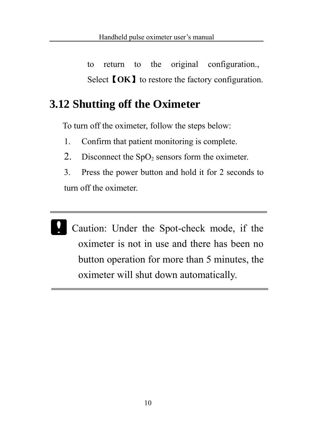to return to the original configuration., Select **[OK**] to restore the factory configuration.

### **3.12 Shutting off the Oximeter**

To turn off the oximeter, follow the steps below:

- 1. Confirm that patient monitoring is complete.
- 2. Disconnect the  $SpO<sub>2</sub>$  sensors form the oximeter.
- 3. Press the power button and hold it for 2 seconds to turn off the oximeter.
- Caution: Under the Spot-check mode, if the oximeter is not in use and there has been no button operation for more than 5 minutes, the oximeter will shut down automatically.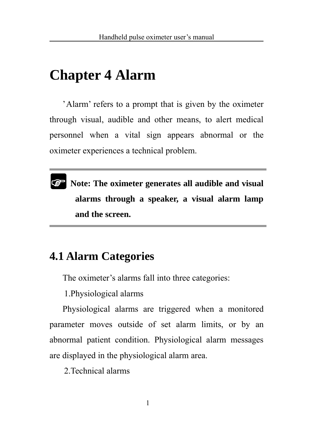## **Chapter 4 Alarm**

'Alarm' refers to a prompt that is given by the oximeter through visual, audible and other means, to alert medical personnel when a vital sign appears abnormal or the oximeter experiences a technical problem.



**Note: The oximeter generates all audible and visual alarms through a speaker, a visual alarm lamp and the screen.** 

### **4.1 Alarm Categories**

The oximeter's alarms fall into three categories:

1.Physiological alarms

Physiological alarms are triggered when a monitored parameter moves outside of set alarm limits, or by an abnormal patient condition. Physiological alarm messages are displayed in the physiological alarm area.

2.Technical alarms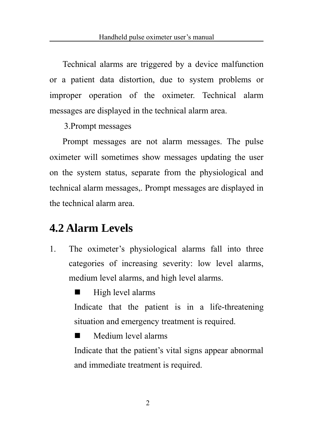Technical alarms are triggered by a device malfunction or a patient data distortion, due to system problems or improper operation of the oximeter. Technical alarm messages are displayed in the technical alarm area.

3.Prompt messages

Prompt messages are not alarm messages. The pulse oximeter will sometimes show messages updating the user on the system status, separate from the physiological and technical alarm messages,. Prompt messages are displayed in the technical alarm area.

### **4.2 Alarm Levels**

1. The oximeter's physiological alarms fall into three categories of increasing severity: low level alarms, medium level alarms, and high level alarms.

High level alarms

Indicate that the patient is in a life-threatening situation and emergency treatment is required.

**Medium level alarms** 

Indicate that the patient's vital signs appear abnormal and immediate treatment is required.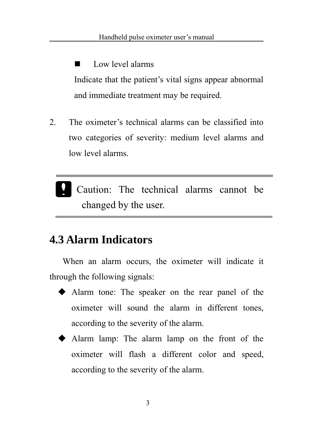$\blacksquare$  Low level alarms Indicate that the patient's vital signs appear abnormal and immediate treatment may be required.

- 2. The oximeter's technical alarms can be classified into two categories of severity: medium level alarms and low level alarms.
	- Caution: The technical alarms cannot be changed by the user.

### **4.3 Alarm Indicators**

When an alarm occurs, the oximeter will indicate it through the following signals:

- Alarm tone: The speaker on the rear panel of the oximeter will sound the alarm in different tones, according to the severity of the alarm.
- Alarm lamp: The alarm lamp on the front of the oximeter will flash a different color and speed, according to the severity of the alarm.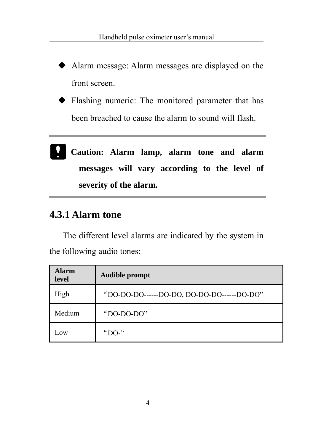- Alarm message: Alarm messages are displayed on the front screen.
- Flashing numeric: The monitored parameter that has been breached to cause the alarm to sound will flash.
- **Caution: Alarm lamp, alarm tone and alarm messages will vary according to the level of severity of the alarm.**

#### **4.3.1 Alarm tone**

The different level alarms are indicated by the system in the following audio tones:

| <b>Alarm</b><br>level | <b>Audible prompt</b>                      |
|-----------------------|--------------------------------------------|
| High                  | "DO-DO-DO------DO-DO, DO-DO-DO------DO-DO" |
| Medium                | " $DO-DO-DO"$                              |
| Low                   | "DO-"                                      |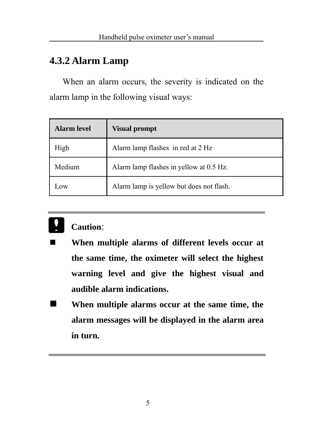#### **4.3.2 Alarm Lamp**

When an alarm occurs, the severity is indicated on the alarm lamp in the following visual ways:

| <b>Alarm level</b> | <b>Visual prompt</b>                     |
|--------------------|------------------------------------------|
| High               | Alarm lamp flashes in red at 2 Hz        |
| Medium             | Alarm lamp flashes in yellow at 0.5 Hz.  |
| Low                | Alarm lamp is yellow but does not flash. |



#### **Caution**:

- **When multiple alarms of different levels occur at the same time, the oximeter will select the highest warning level and give the highest visual and audible alarm indications.**
- **When multiple alarms occur at the same time, the alarm messages will be displayed in the alarm area in turn.**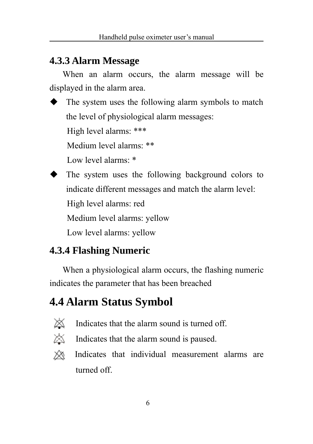#### **4.3.3 Alarm Message**

When an alarm occurs, the alarm message will be displayed in the alarm area.

 $\blacklozenge$  The system uses the following alarm symbols to match the level of physiological alarm messages:

High level alarms: \*\*\*

Medium level alarms: \*\*

Low level alarms: \*

The system uses the following background colors to

indicate different messages and match the alarm level:

High level alarms: red

Medium level alarms: yellow

Low level alarms: yellow

### **4.3.4 Flashing Numeric**

When a physiological alarm occurs, the flashing numeric indicates the parameter that has been breached

## **4.4 Alarm Status Symbol**



- Indicates that the alarm sound is turned off.
- $\mathbb{X}$  Indicates that the alarm sound is paused.
- ⋙ Indicates that individual measurement alarms are turned off.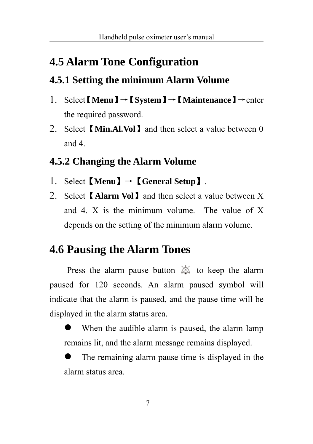## **4.5 Alarm Tone Configuration**

### **4.5.1 Setting the minimum Alarm Volume**

- 1. Select【**Menu**】→【**System**】→【**Maintenance**】→enter the required password.
- 2. Select【**Min.Al.Vol**】and then select a value between 0 and 4.

#### **4.5.2 Changing the Alarm Volume**

- 1. Select【**Menu**】→【**General Setup**】.
- 2. Select【**Alarm Vol**】and then select a value between X and 4. X is the minimum volume. The value of X depends on the setting of the minimum alarm volume.

## **4.6 Pausing the Alarm Tones**

Press the alarm pause button  $\triangle$  to keep the alarm paused for 120 seconds. An alarm paused symbol will indicate that the alarm is paused, and the pause time will be displayed in the alarm status area.

When the audible alarm is paused, the alarm lamp remains lit, and the alarm message remains displayed.

The remaining alarm pause time is displayed in the alarm status area.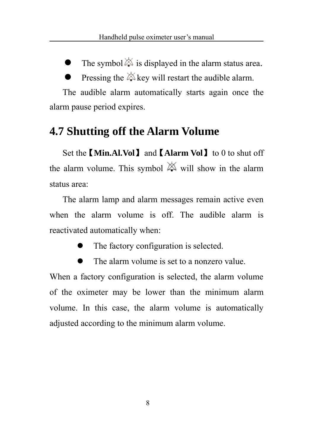The symbol  $\triangle$  is displayed in the alarm status area.

Pressing the  $\triangle$  key will restart the audible alarm.

The audible alarm automatically starts again once the alarm pause period expires.

### **4.7 Shutting off the Alarm Volume**

Set the 【**Min.Al.Vol**】and 【**Alarm Vol**】to 0 to shut off the alarm volume. This symbol  $\boxtimes$  will show in the alarm status area:

The alarm lamp and alarm messages remain active even when the alarm volume is off. The audible alarm is reactivated automatically when:

- The factory configuration is selected.
- The alarm volume is set to a nonzero value.

When a factory configuration is selected, the alarm volume of the oximeter may be lower than the minimum alarm volume. In this case, the alarm volume is automatically adjusted according to the minimum alarm volume.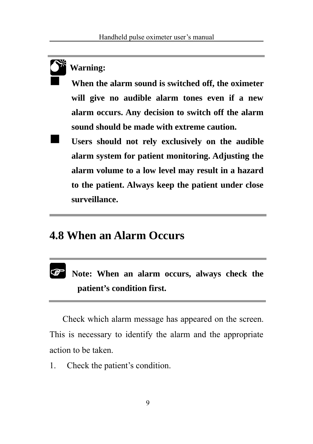#### **Warning:**

**0\*** 

 **When the alarm sound is switched off, the oximeter will give no audible alarm tones even if a new alarm occurs. Any decision to switch off the alarm sound should be made with extreme caution.**

 **Users should not rely exclusively on the audible alarm system for patient monitoring. Adjusting the alarm volume to a low level may result in a hazard to the patient. Always keep the patient under close surveillance.**

#### **4.8 When an Alarm Occurs**

#### **Note: When an alarm occurs, always check the patient's condition first.**  $\circledast$

Check which alarm message has appeared on the screen. This is necessary to identify the alarm and the appropriate action to be taken.

1. Check the patient's condition.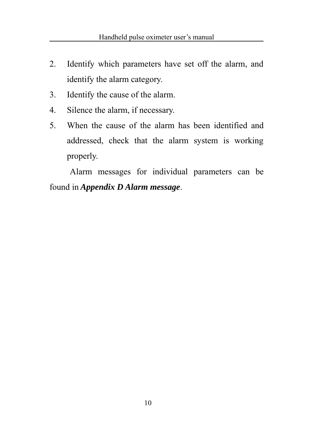- 2. Identify which parameters have set off the alarm, and identify the alarm category.
- 3. Identify the cause of the alarm.
- 4. Silence the alarm, if necessary.
- 5. When the cause of the alarm has been identified and addressed, check that the alarm system is working properly.

Alarm messages for individual parameters can be found in *Appendix D Alarm message*.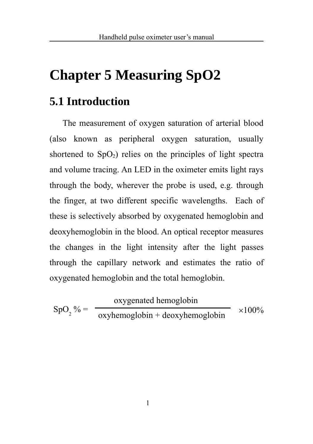# **Chapter 5 Measuring SpO2**

### **5.1 Introduction**

The measurement of oxygen saturation of arterial blood (also known as peripheral oxygen saturation, usually shortened to  $SpO<sub>2</sub>$ ) relies on the principles of light spectra and volume tracing. An LED in the oximeter emits light rays through the body, wherever the probe is used, e.g. through the finger, at two different specific wavelengths. Each of these is selectively absorbed by oxygenated hemoglobin and deoxyhemoglobin in the blood. An optical receptor measures the changes in the light intensity after the light passes through the capillary network and estimates the ratio of oxygenated hemoglobin and the total hemoglobin.

 $\text{SpO}_2\% = \frac{\text{exphemoglobin} + \text{deoxyhemoglobin}}{100\%} \times 100\%$ oxygenated hemoglobin oxyhemoglobin + deoxyhemoglobin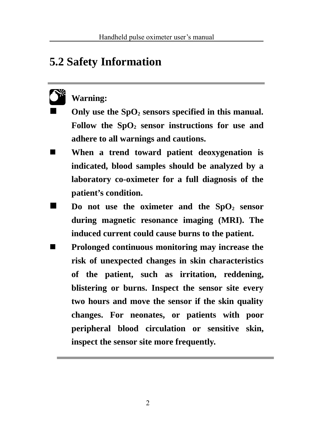### **5.2 Safety Information**

#### **Warning: 0\***

Only use the SpO<sub>2</sub> sensors specified in this manual. Follow the SpO<sub>2</sub> sensor instructions for use and **adhere to all warnings and cautions.**

- **When a trend toward patient deoxygenation is indicated, blood samples should be analyzed by a laboratory co-oximeter for a full diagnosis of the patient's condition.**
- **Do not use the oximeter and the SpO<sub>2</sub> sensor during magnetic resonance imaging (MRI). The induced current could cause burns to the patient.**
- **Prolonged continuous monitoring may increase the risk of unexpected changes in skin characteristics of the patient, such as irritation, reddening, blistering or burns. Inspect the sensor site every two hours and move the sensor if the skin quality changes. For neonates, or patients with poor peripheral blood circulation or sensitive skin, inspect the sensor site more frequently.**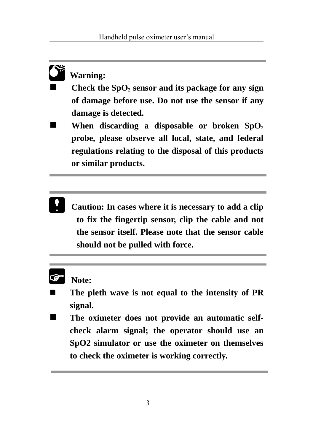#### **Warning: 0\***

- Check the SpO<sub>2</sub> sensor and its package for any sign **of damage before use. Do not use the sensor if any damage is detected.**
- **When discarding a disposable or broken**  $SpO<sub>2</sub>$ **probe, please observe all local, state, and federal regulations relating to the disposal of this products or similar products.**
	- **Caution: In cases where it is necessary to add a clip to fix the fingertip sensor, clip the cable and not the sensor itself. Please note that the sensor cable should not be pulled with force.**

#### **Note: P**

- **The pleth wave is not equal to the intensity of PR signal.**
- The oximeter does not provide an automatic self**check alarm signal; the operator should use an SpO2 simulator or use the oximeter on themselves to check the oximeter is working correctly.**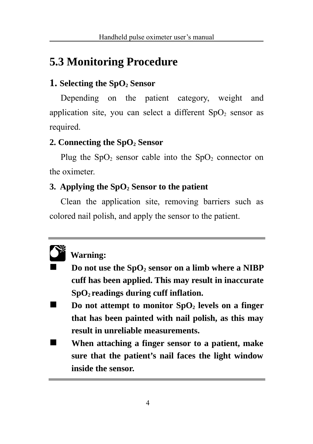### **5.3 Monitoring Procedure**

#### **1. Selecting the SpO2 Sensor**

Depending on the patient category, weight and application site, you can select a different  $SpO<sub>2</sub>$  sensor as required.

#### **2. Connecting the SpO2 Sensor**

Plug the  $SpO<sub>2</sub>$  sensor cable into the  $SpO<sub>2</sub>$  connector on the oximeter.

#### **3. Applying the SpO2 Sensor to the patient**

Clean the application site, removing barriers such as colored nail polish, and apply the sensor to the patient.



#### **Warning:**

- **Do not use the SpO2 sensor on a limb where a NIBP cuff has been applied. This may result in inaccurate SpO2 readings during cuff inflation.**
- **Do not attempt to monitor SpO<sub>2</sub> levels on a finger that has been painted with nail polish, as this may result in unreliable measurements.**
- **When attaching a finger sensor to a patient, make sure that the patient's nail faces the light window inside the sensor.**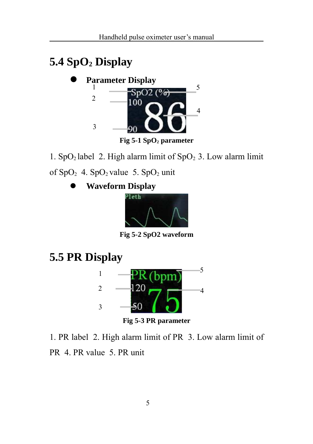## **5.4 SpO2 Display**



1. SpO<sub>2</sub> label 2. High alarm limit of SpO<sub>2</sub> 3. Low alarm limit

of  $SpO<sub>2</sub>$  4.  $SpO<sub>2</sub>$  value 5.  $SpO<sub>2</sub>$  unit

z **Waveform Display**



**Fig 5-2 SpO2 waveform**

**5.5 PR Display**



1. PR label 2. High alarm limit of PR 3. Low alarm limit of PR 4. PR value 5. PR unit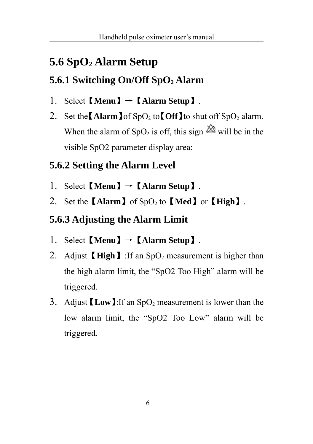## **5.6 SpO2 Alarm Setup**

### **5.6.1 Switching On/Off SpO2 Alarm**

- 1. Select【**Menu**】→【**Alarm Setup**】.
- 2. Set the  $\Lambda$ **larm**  $\int$  of SpO<sub>2</sub> to  $\int$  Off<sub> $\int$ </sub> to shut off SpO<sub>2</sub> alarm. When the alarm of SpO<sub>2</sub> is off, this sign  $\boxtimes$  will be in the visible SpO2 parameter display area:

### **5.6.2 Setting the Alarm Level**

- 1. Select【**Menu**】→【**Alarm Setup**】.
- 2. Set the **[Alarm**] of SpO<sub>2</sub> to **[Med**] or **[High**].

### **5.6.3 Adjusting the Alarm Limit**

- 1. Select【**Menu**】→【**Alarm Setup**】.
- 2. Adjust **High** I: If an SpO<sub>2</sub> measurement is higher than the high alarm limit, the "SpO2 Too High" alarm will be triggered.
- 3. Adjust **Low** 1: If an SpO<sub>2</sub> measurement is lower than the low alarm limit, the "SpO2 Too Low" alarm will be triggered.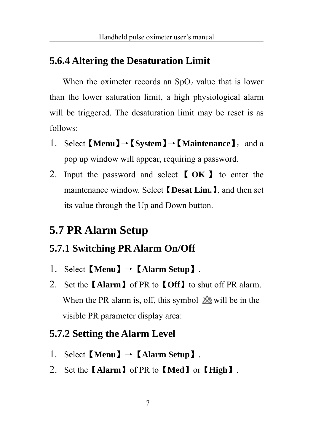#### **5.6.4 Altering the Desaturation Limit**

When the oximeter records an  $SpO<sub>2</sub>$  value that is lower than the lower saturation limit, a high physiological alarm will be triggered. The desaturation limit may be reset is as follows:

- 1. Select 【**Menu**】→【**System**】→【**Maintenance**】,and a pop up window will appear, requiring a password.
- 2. Input the password and select 【 **OK** 】 to enter the maintenance window. Select 【**Desat Lim.**】, and then set its value through the Up and Down button.

### **5.7 PR Alarm Setup**

#### **5.7.1 Switching PR Alarm On/Off**

- 1. Select【**Menu**】→【**Alarm Setup**】.
- 2. Set the【**Alarm**】of PR to【**Off**】to shut off PR alarm. When the PR alarm is, off, this symbol  $\triangle$  will be in the visible PR parameter display area:

#### **5.7.2 Setting the Alarm Level**

- 1. Select【**Menu**】→【**Alarm Setup**】.
- 2. Set the【**Alarm**】of PR to【**Med**】or【**High**】.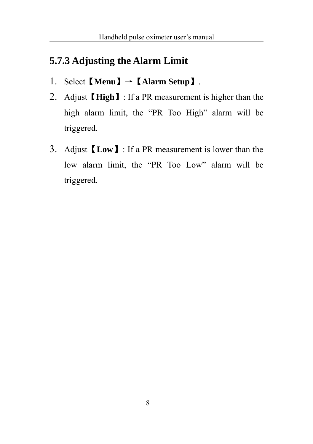#### **5.7.3 Adjusting the Alarm Limit**

- 1. Select【**Menu**】→【**Alarm Setup**】.
- 2. Adjust【**High**】: If a PR measurement is higher than the high alarm limit, the "PR Too High" alarm will be triggered.
- 3. Adjust【**Low**】: If a PR measurement is lower than the low alarm limit, the "PR Too Low" alarm will be triggered.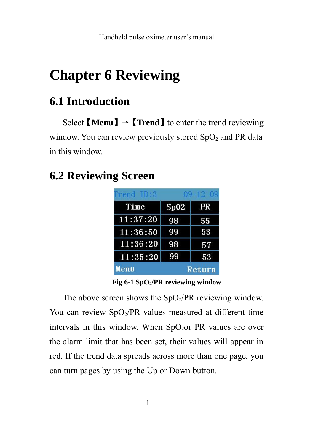# **Chapter 6 Reviewing**

## **6.1 Introduction**

Select  $[\text{Menu}] \rightarrow [\text{Trend}]$  to enter the trend reviewing window. You can review previously stored  $SpO<sub>2</sub>$  and PR data in this window.

## **6.2 Reviewing Screen**

| $1$ rend $10.3$ | $09 - 12 - 09$ |        |
|-----------------|----------------|--------|
| Time            | Sp02           | PR     |
| 11:37:20        | 98             | 55     |
| 11:36:50        | 99             | 53     |
| 11:36:20        | 98             | 57     |
| 11:35:20        | 99             | 53     |
| Menu            |                | Return |

**Fig 6-1 SpO2/PR reviewing window**

The above screen shows the  $SpO_2/PR$  reviewing window. You can review  $SpO<sub>2</sub>/PR$  values measured at different time intervals in this window. When  $SpO<sub>2</sub>$  PR values are over the alarm limit that has been set, their values will appear in red. If the trend data spreads across more than one page, you can turn pages by using the Up or Down button.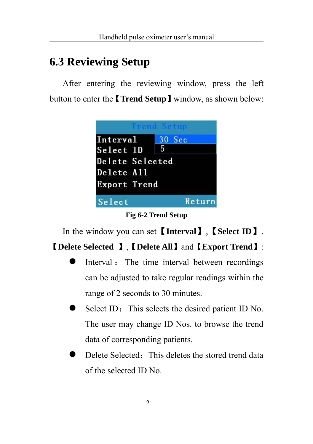## **6.3 Reviewing Setup**

After entering the reviewing window, press the left button to enter the【**Trend Setup**】window, as shown below:



**Fig 6-2 Trend Setup**

In the window you can set【**Interval**】,【**Select ID**】,

### 【**Delete Selected** 】,【**Delete All**】and【**Export Trend**】:

- Interval : The time interval between recordings can be adjusted to take regular readings within the range of 2 seconds to 30 minutes.
- Select ID: This selects the desired patient ID No. The user may change ID Nos. to browse the trend data of corresponding patients.
- $Delete Selected$  This deletes the stored trend data of the selected ID No.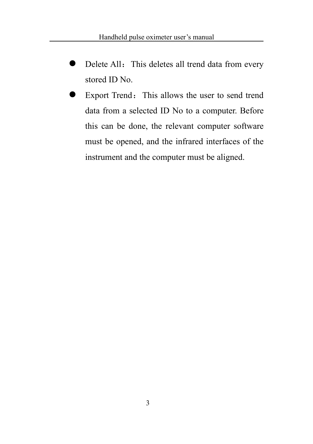- Delete All: This deletes all trend data from every stored ID No.
- **Export Trend:** This allows the user to send trend data from a selected ID No to a computer. Before this can be done, the relevant computer software must be opened, and the infrared interfaces of the instrument and the computer must be aligned.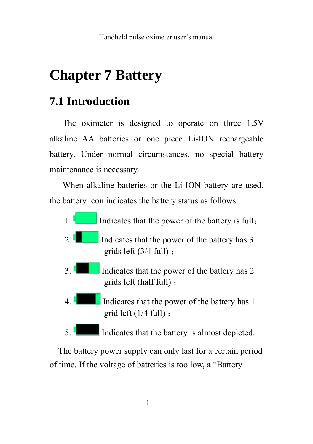# **Chapter 7 Battery**

### **7.1 Introduction**

The oximeter is designed to operate on three 1.5V alkaline AA batteries or one piece Li-ION rechargeable battery. Under normal circumstances, no special battery maintenance is necessary.

When alkaline batteries or the Li-ION battery are used, the battery icon indicates the battery status as follows:

- 1. Indicates that the power of the battery is full;
- 2. Indicates that the power of the battery has  $3$ grids left (3/4 full) ;
- 3. Indicates that the power of the battery has 2 grids left (half full) ;
- 4. Indicates that the power of the battery has 1 grid left (1/4 full) ;
- 5. Indicates that the battery is almost depleted.

 The battery power supply can only last for a certain period of time. If the voltage of batteries is too low, a "Battery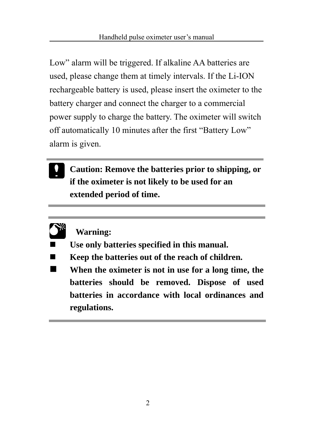Low" alarm will be triggered. If alkaline AA batteries are used, please change them at timely intervals. If the Li-ION rechargeable battery is used, please insert the oximeter to the battery charger and connect the charger to a commercial power supply to charge the battery. The oximeter will switch off automatically 10 minutes after the first "Battery Low" alarm is given.

**Caution: Remove the batteries prior to shipping, or if the oximeter is not likely to be used for an extended period of time.**



#### **Warning:**

- **Use only batteries specified in this manual.**
- **Keep the batteries out of the reach of children.**
- **When the oximeter is not in use for a long time, the batteries should be removed. Dispose of used batteries in accordance with local ordinances and regulations.**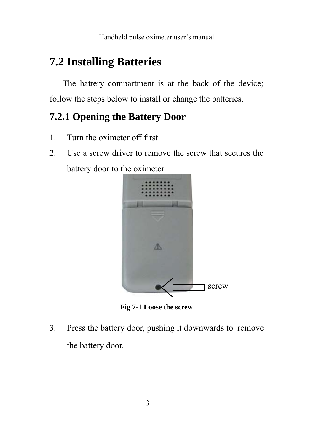## **7.2 Installing Batteries**

The battery compartment is at the back of the device; follow the steps below to install or change the batteries.

### **7.2.1 Opening the Battery Door**

- 1. Turn the oximeter off first.
- 2. Use a screw driver to remove the screw that secures the battery door to the oximeter.



**Fig 7-1 Loose the screw**

3. Press the battery door, pushing it downwards to remove the battery door.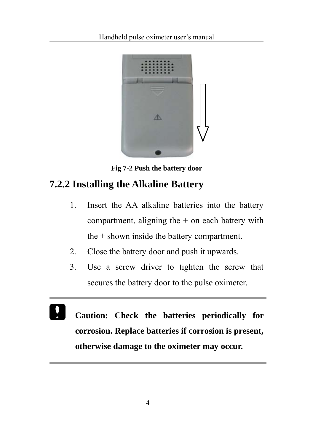

**Fig 7-2 Push the battery door**

### **7.2.2 Installing the Alkaline Battery**

- 1. Insert the AA alkaline batteries into the battery compartment, aligning the  $+$  on each battery with the + shown inside the battery compartment.
- 2. Close the battery door and push it upwards.
- 3. Use a screw driver to tighten the screw that secures the battery door to the pulse oximeter.
- **Caution: Check the batteries periodically for corrosion. Replace batteries if corrosion is present, otherwise damage to the oximeter may occur.**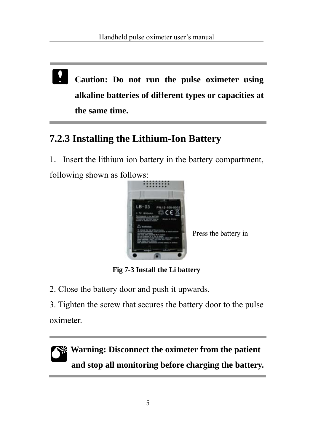**Caution: Do not run the pulse oximeter using alkaline batteries of different types or capacities at the same time.**

### **7.2.3 Installing the Lithium-Ion Battery**

1. Insert the lithium ion battery in the battery compartment, following shown as follows:



Press the battery in

**Fig 7-3 Install the Li battery**

2. Close the battery door and push it upwards.

3. Tighten the screw that secures the battery door to the pulse oximeter.

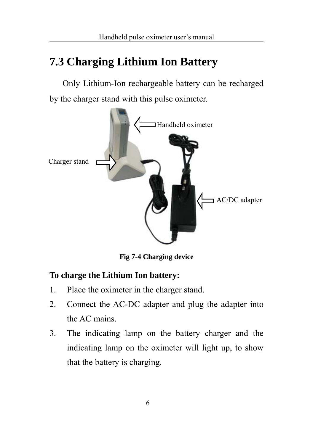### **7.3 Charging Lithium Ion Battery**

Only Lithium-Ion rechargeable battery can be recharged by the charger stand with this pulse oximeter.



**Fig 7-4 Charging device**

#### **To charge the Lithium Ion battery:**

- 1. Place the oximeter in the charger stand.
- 2. Connect the AC-DC adapter and plug the adapter into the AC mains.
- 3. The indicating lamp on the battery charger and the indicating lamp on the oximeter will light up, to show that the battery is charging.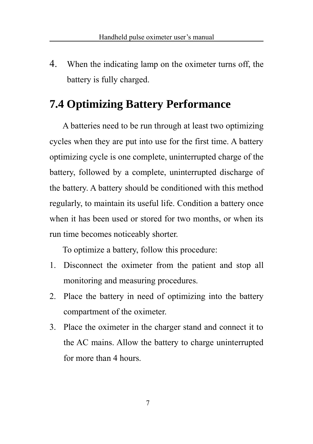4. When the indicating lamp on the oximeter turns off, the battery is fully charged.

### **7.4 Optimizing Battery Performance**

A batteries need to be run through at least two optimizing cycles when they are put into use for the first time. A battery optimizing cycle is one complete, uninterrupted charge of the battery, followed by a complete, uninterrupted discharge of the battery. A battery should be conditioned with this method regularly, to maintain its useful life. Condition a battery once when it has been used or stored for two months, or when its run time becomes noticeably shorter.

To optimize a battery, follow this procedure:

- 1. Disconnect the oximeter from the patient and stop all monitoring and measuring procedures.
- 2. Place the battery in need of optimizing into the battery compartment of the oximeter.
- 3. Place the oximeter in the charger stand and connect it to the AC mains. Allow the battery to charge uninterrupted for more than 4 hours.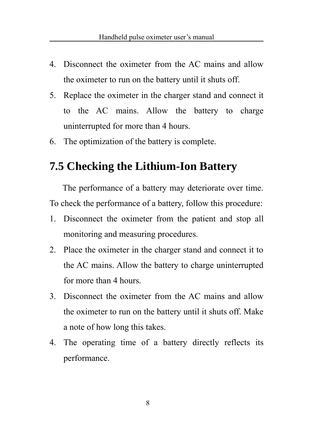- 4. Disconnect the oximeter from the AC mains and allow the oximeter to run on the battery until it shuts off.
- 5. Replace the oximeter in the charger stand and connect it to the AC mains. Allow the battery to charge uninterrupted for more than 4 hours.
- 6. The optimization of the battery is complete.

### **7.5 Checking the Lithium-Ion Battery**

The performance of a battery may deteriorate over time. To check the performance of a battery, follow this procedure:

- 1. Disconnect the oximeter from the patient and stop all monitoring and measuring procedures.
- 2. Place the oximeter in the charger stand and connect it to the AC mains. Allow the battery to charge uninterrupted for more than 4 hours.
- 3. Disconnect the oximeter from the AC mains and allow the oximeter to run on the battery until it shuts off. Make a note of how long this takes.
- 4. The operating time of a battery directly reflects its performance.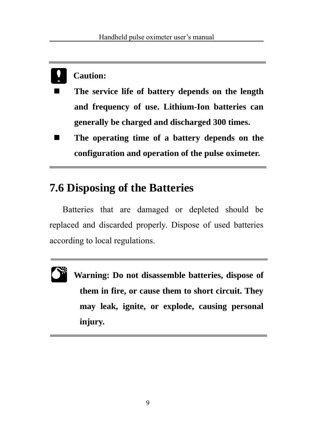### **Caution:**

- **The service life of battery depends on the length and frequency of use. Lithium-Ion batteries can generally be charged and discharged 300 times.**
- The operating time of a battery depends on the **configuration and operation of the pulse oximeter.**

### **7.6 Disposing of the Batteries**

Batteries that are damaged or depleted should be replaced and discarded properly. Dispose of used batteries according to local regulations.



**Warning: Do not disassemble batteries, dispose of them in fire, or cause them to short circuit. They may leak, ignite, or explode, causing personal injury.**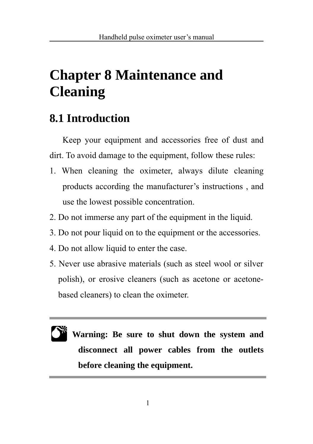# **Chapter 8 Maintenance and Cleaning**

## **8.1 Introduction**

Keep your equipment and accessories free of dust and dirt. To avoid damage to the equipment, follow these rules:

- 1. When cleaning the oximeter, always dilute cleaning products according the manufacturer's instructions , and use the lowest possible concentration.
- 2. Do not immerse any part of the equipment in the liquid.
- 3. Do not pour liquid on to the equipment or the accessories.
- 4. Do not allow liquid to enter the case.
- 5. Never use abrasive materials (such as steel wool or silver polish), or erosive cleaners (such as acetone or acetonebased cleaners) to clean the oximeter.

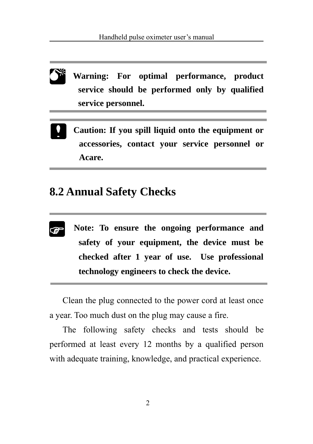**Warning: For optimal performance, product service should be performed only by qualified service personnel. 0\*** 

**Caution: If you spill liquid onto the equipment or accessories, contact your service personnel or Acare.**

### **8.2 Annual Safety Checks**

- $\circledast$
- **Note: To ensure the ongoing performance and safety of your equipment, the device must be checked after 1 year of use. Use professional technology engineers to check the device.**

Clean the plug connected to the power cord at least once a year. Too much dust on the plug may cause a fire.

The following safety checks and tests should be performed at least every 12 months by a qualified person with adequate training, knowledge, and practical experience.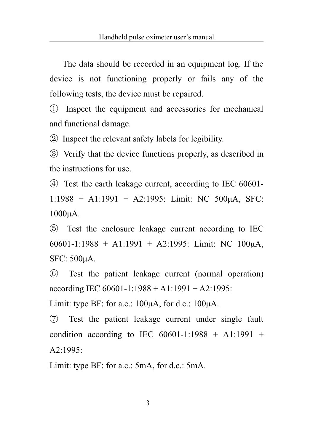The data should be recorded in an equipment log. If the device is not functioning properly or fails any of the following tests, the device must be repaired.

① Inspect the equipment and accessories for mechanical and functional damage.

② Inspect the relevant safety labels for legibility.

③ Verify that the device functions properly, as described in the instructions for use.

④ Test the earth leakage current, according to IEC 60601- 1:1988 + A1:1991 + A2:1995: Limit: NC 500μA, SFC: 1000μA.

⑤ Test the enclosure leakage current according to IEC 60601-1:1988 + A1:1991 + A2:1995: Limit: NC 100μA, SFC: 500μA.

⑥ Test the patient leakage current (normal operation) according IEC 60601-1:1988 + A1:1991 + A2:1995:

Limit: type BF: for a.c.:  $100\mu$ A, for d.c.:  $100\mu$ A.

⑦ Test the patient leakage current under single fault condition according to IEC  $60601 - 1:1988 + A1:1991 +$  $A2.1995$ 

Limit: type BF: for a.c.: 5mA, for d.c.: 5mA.

3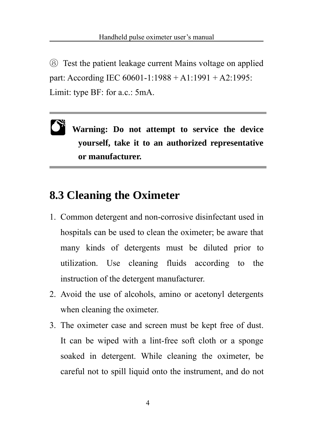⑧ Test the patient leakage current Mains voltage on applied part: According IEC 60601-1:1988 + A1:1991 + A2:1995: Limit: type BF: for a.c.: 5mA.

**Warning: Do not attempt to service the device yourself, take it to an authorized representative or manufacturer.**   $\mathbf{C}^*$ 

### **8.3 Cleaning the Oximeter**

- 1. Common detergent and non-corrosive disinfectant used in hospitals can be used to clean the oximeter; be aware that many kinds of detergents must be diluted prior to utilization. Use cleaning fluids according to the instruction of the detergent manufacturer.
- 2. Avoid the use of alcohols, amino or acetonyl detergents when cleaning the oximeter.
- 3. The oximeter case and screen must be kept free of dust. It can be wiped with a lint-free soft cloth or a sponge soaked in detergent. While cleaning the oximeter, be careful not to spill liquid onto the instrument, and do not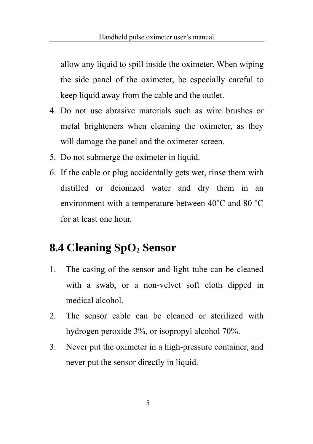allow any liquid to spill inside the oximeter. When wiping the side panel of the oximeter, be especially careful to keep liquid away from the cable and the outlet.

- 4. Do not use abrasive materials such as wire brushes or metal brighteners when cleaning the oximeter, as they will damage the panel and the oximeter screen.
- 5. Do not submerge the oximeter in liquid.
- 6. If the cable or plug accidentally gets wet, rinse them with distilled or deionized water and dry them in an environment with a temperature between 40˚C and 80 ˚C for at least one hour.

### **8.4 Cleaning SpO2 Sensor**

- 1. The casing of the sensor and light tube can be cleaned with a swab, or a non-velvet soft cloth dipped in medical alcohol.
- 2. The sensor cable can be cleaned or sterilized with hydrogen peroxide 3%, or isopropyl alcohol 70%.
- 3. Never put the oximeter in a high-pressure container, and never put the sensor directly in liquid.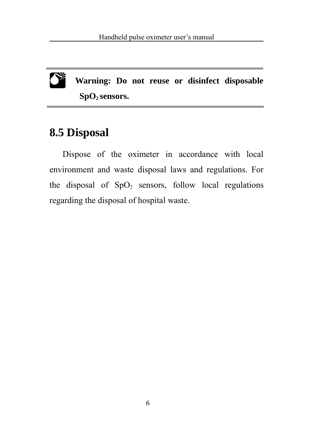

**Warning: Do not reuse or disinfect disposable SpO2 sensors.**

### **8.5 Disposal**

Dispose of the oximeter in accordance with local environment and waste disposal laws and regulations. For the disposal of  $SpO<sub>2</sub>$  sensors, follow local regulations regarding the disposal of hospital waste.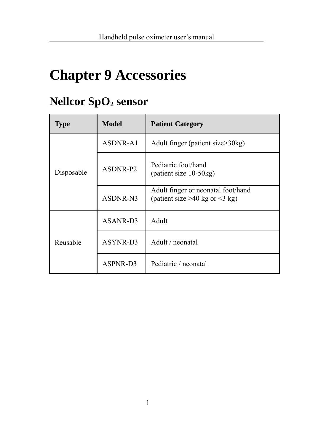# **Chapter 9 Accessories**

## **Nellcor SpO2 sensor**

| Type       | <b>Model</b> | <b>Patient Category</b>                                                   |  |
|------------|--------------|---------------------------------------------------------------------------|--|
| Disposable | ASDNR-A1     | Adult finger (patient size>30kg)                                          |  |
|            | ASDNR-P2     | Pediatric foot/hand<br>(patient size $10-50$ kg)                          |  |
|            | ASDNR-N3     | Adult finger or neonatal foot/hand<br>(patient size $>40$ kg or $<$ 3 kg) |  |
| Reusable   | ASANR-D3     | Adult                                                                     |  |
|            | ASYNR-D3     | Adult / neonatal                                                          |  |
|            | ASPNR-D3     | Pediatric / neonatal                                                      |  |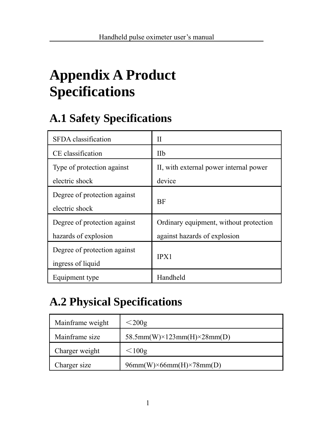# **Appendix A Product Specifications**

## **A.1 Safety Specifications**

| SFDA classification                                  | П                                                                      |
|------------------------------------------------------|------------------------------------------------------------------------|
| CE classification                                    | Пb                                                                     |
| Type of protection against<br>electric shock         | II, with external power internal power<br>device                       |
| Degree of protection against<br>electric shock       | BF                                                                     |
| Degree of protection against<br>hazards of explosion | Ordinary equipment, without protection<br>against hazards of explosion |
| Degree of protection against<br>ingress of liquid    | IPX1                                                                   |
| Equipment type                                       | Handheld                                                               |

## **A.2 Physical Specifications**

| Mainframe weight | $<$ 200g                                     |
|------------------|----------------------------------------------|
| Mainframe size   | 58.5mm(W) $\times$ 123mm(H) $\times$ 28mm(D) |
| Charger weight   | $\leq 100g$                                  |
| Charger size     | $96mm(W)\times 66mm(H)\times 78mm(D)$        |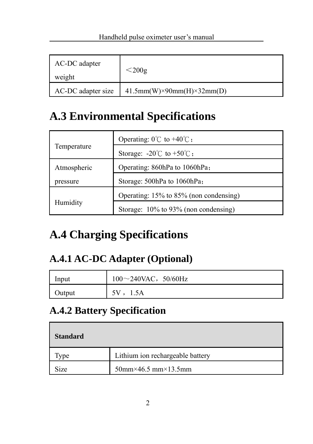| AC-DC adapter<br>weight | $<$ 200g                                |
|-------------------------|-----------------------------------------|
| AC-DC adapter size      | $41.5mm(W)\times 90mm(H)\times 32mm(D)$ |

# **A.3 Environmental Specifications**

| Temperature | Operating: $0^{\circ}$ to $+40^{\circ}$ ; |
|-------------|-------------------------------------------|
|             | Storage: $-20^{\circ}$ to $+50^{\circ}$ . |
| Atmospheric | Operating: 860hPa to 1060hPa;             |
| pressure    | Storage: 500hPa to 1060hPa;               |
| Humidity    | Operating: 15% to 85% (non condensing)    |
|             | Storage: 10% to 93% (non condensing)      |

# **A.4 Charging Specifications**

### **A.4.1 AC-DC Adapter (Optional)**

| Input  | $100 \sim 240$ VAC, $50/60$ Hz |
|--------|--------------------------------|
| Output | 1.5A                           |

# **A.4.2 Battery Specification**

| <b>Standard</b> |                                          |
|-----------------|------------------------------------------|
| vpe             | Lithium ion rechargeable battery         |
| Size            | $50$ mm $\times$ 46.5 mm $\times$ 13.5mm |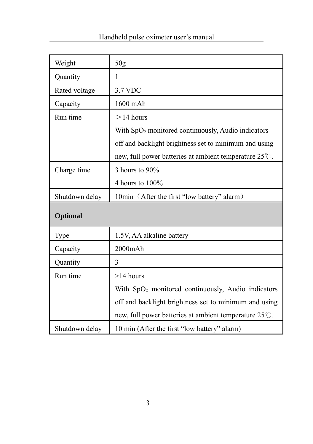| Weight         | 50 <sub>g</sub>                                                |
|----------------|----------------------------------------------------------------|
| Quantity       | 1                                                              |
| Rated voltage  | 3.7 VDC                                                        |
| Capacity       | 1600 mAh                                                       |
| Run time       | $>14$ hours                                                    |
|                | With SpO <sub>2</sub> monitored continuously, Audio indicators |
|                | off and backlight brightness set to minimum and using          |
|                | new, full power batteries at ambient temperature 25°C.         |
| Charge time    | 3 hours to 90%                                                 |
|                | 4 hours to $100\%$                                             |
| Shutdown delay | 10min (After the first "low battery" alarm)                    |
| Optional       |                                                                |
| Type           | 1.5V, AA alkaline battery                                      |
| Capacity       | 2000mAh                                                        |
| Quantity       | 3                                                              |
| Run time       | $>14$ hours                                                    |
|                | With SpO <sub>2</sub> monitored continuously, Audio indicators |
|                | off and backlight brightness set to minimum and using          |
|                | new, full power batteries at ambient temperature 25°C.         |
| Shutdown delay | 10 min (After the first "low battery" alarm)                   |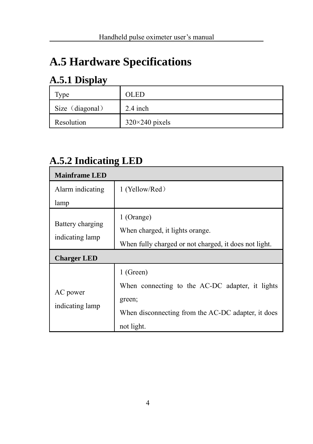# **A.5 Hardware Specifications**

### **A.5.1 Display**

| vpe             | <b>OLED</b>           |
|-----------------|-----------------------|
| Size (diagonal) | $2.4$ inch            |
| Resolution      | $320\times240$ pixels |

### **A.5.2 Indicating LED**

| <b>Mainframe LED</b>        |                                                       |
|-----------------------------|-------------------------------------------------------|
| Alarm indicating            | 1 (Yellow/Red)                                        |
| lamp                        |                                                       |
| Battery charging            | 1 (Orange)                                            |
|                             | When charged, it lights orange.                       |
| indicating lamp             | When fully charged or not charged, it does not light. |
| <b>Charger LED</b>          |                                                       |
| AC power<br>indicating lamp | 1 (Green)                                             |
|                             | When connecting to the AC-DC adapter, it lights       |
|                             | green;                                                |
|                             | When disconnecting from the AC-DC adapter, it does    |
|                             | not light.                                            |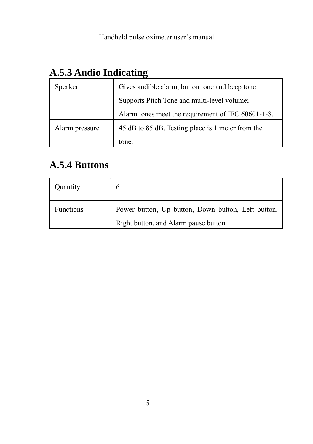| Speaker        | Gives audible alarm, button tone and beep tone     |
|----------------|----------------------------------------------------|
|                | Supports Pitch Tone and multi-level volume;        |
|                | Alarm tones meet the requirement of IEC 60601-1-8. |
| Alarm pressure | 45 dB to 85 dB, Testing place is 1 meter from the  |
|                | tone.                                              |

### **A.5.3 Audio Indicating**

### **A.5.4 Buttons**

| Ouantity  | 6                                                  |
|-----------|----------------------------------------------------|
| Functions | Power button, Up button, Down button, Left button, |
|           | Right button, and Alarm pause button.              |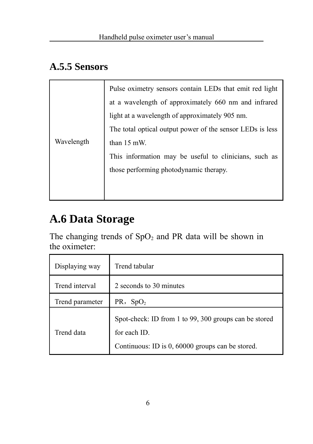### **A.5.5 Sensors**

| Wavelength | Pulse oximetry sensors contain LEDs that emit red light<br>at a wavelength of approximately 660 nm and infrared<br>light at a wavelength of approximately 905 nm.<br>The total optical output power of the sensor LEDs is less<br>than 15 mW.<br>This information may be useful to clinicians, such as<br>those performing photodynamic therapy. |
|------------|--------------------------------------------------------------------------------------------------------------------------------------------------------------------------------------------------------------------------------------------------------------------------------------------------------------------------------------------------|
|------------|--------------------------------------------------------------------------------------------------------------------------------------------------------------------------------------------------------------------------------------------------------------------------------------------------------------------------------------------------|

# **A.6 Data Storage**

The changing trends of  $SpO<sub>2</sub>$  and PR data will be shown in the oximeter:

| Displaying way  | Trend tabular                                                                                                             |
|-----------------|---------------------------------------------------------------------------------------------------------------------------|
| Trend interval  | 2 seconds to 30 minutes                                                                                                   |
| Trend parameter | PR, SpO <sub>2</sub>                                                                                                      |
| Trend data      | Spot-check: ID from 1 to 99, 300 groups can be stored<br>for each ID.<br>Continuous: ID is 0, 60000 groups can be stored. |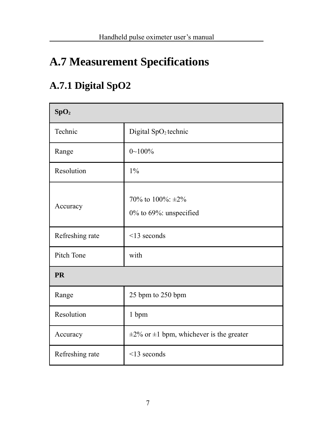# **A.7 Measurement Specifications**

## **A.7.1 Digital SpO2**

| SpO <sub>2</sub> |                                                    |
|------------------|----------------------------------------------------|
| Technic          | Digital SpO <sub>2</sub> technic                   |
| Range            | $0 - 100\%$                                        |
| Resolution       | 1%                                                 |
| Accuracy         | 70% to 100%: $\pm 2\%$<br>0% to 69%: unspecified   |
| Refreshing rate  | $\leq$ 13 seconds                                  |
| Pitch Tone       | with                                               |
| <b>PR</b>        |                                                    |
| Range            | 25 bpm to 250 bpm                                  |
| Resolution       | 1 bpm                                              |
| Accuracy         | $\pm 2\%$ or $\pm 1$ bpm, whichever is the greater |
| Refreshing rate  | $\leq$ 13 seconds                                  |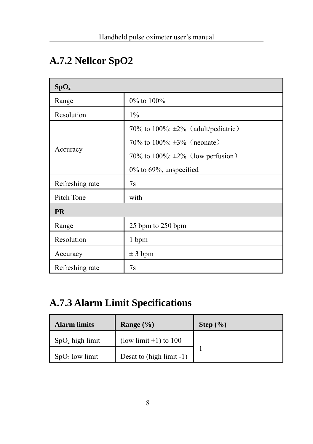## **A.7.2 Nellcor SpO2**

| SpO <sub>2</sub> |                                              |
|------------------|----------------------------------------------|
| Range            | $0\%$ to $100\%$                             |
| Resolution       | $1\%$                                        |
|                  | 70% to $100\%$ : $\pm 2\%$ (adult/pediatric) |
|                  | 70\% to 100\%; $\pm 3\%$ (neonate)           |
| Accuracy         | 70% to 100%: $\pm 2\%$ (low perfusion)       |
|                  | $0\%$ to 69%, unspecified                    |
| Refreshing rate  | 7s                                           |
| Pitch Tone       | with                                         |
| <b>PR</b>        |                                              |
| Range            | 25 bpm to 250 bpm                            |
| Resolution       | 1 bpm                                        |
| Accuracy         | $\pm$ 3 bpm                                  |
| Refreshing rate  | 7s                                           |

### **A.7.3 Alarm Limit Specifications**

| <b>Alarm limits</b>                               | Range $(\% )$            | Step $(\% )$ |
|---------------------------------------------------|--------------------------|--------------|
| $\sum_{n=1}^{\infty}$ SpO <sub>2</sub> high limit | (low limit $+1$ ) to 100 |              |
| $\sum$ SpO <sub>2</sub> low limit                 | Desat to (high limit -1) |              |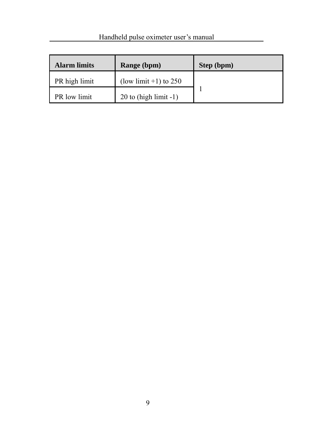| <b>Alarm limits</b> | Range (bpm)              | Step (bpm) |
|---------------------|--------------------------|------------|
| PR high limit       | (low limit $+1$ ) to 250 |            |
| PR low limit        | $20$ to (high limit -1)  |            |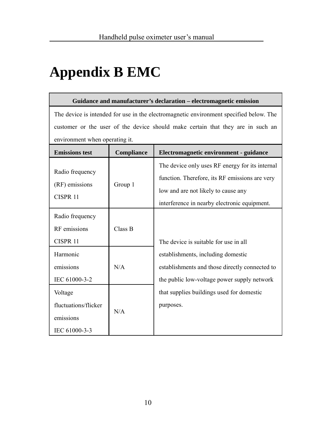# **Appendix B EMC**

#### **Guidance and manufacturer's declaration – electromagnetic emission**

The device is intended for use in the electromagnetic environment specified below. The customer or the user of the device should make certain that they are in such an environment when operating it.

| <b>Emissions test</b>                                         | Compliance | Electromagnetic environment - guidance                                                                                                                                                   |
|---------------------------------------------------------------|------------|------------------------------------------------------------------------------------------------------------------------------------------------------------------------------------------|
| Radio frequency<br>(RF) emissions<br>CISPR <sub>11</sub>      | Group 1    | The device only uses RF energy for its internal<br>function. Therefore, its RF emissions are very<br>low and are not likely to cause any<br>interference in nearby electronic equipment. |
| Radio frequency<br>RF emissions<br>CISPR <sub>11</sub>        | Class B    | The device is suitable for use in all                                                                                                                                                    |
| Harmonic<br>emissions<br>IEC 61000-3-2                        | N/A        | establishments, including domestic<br>establishments and those directly connected to<br>the public low-voltage power supply network                                                      |
| Voltage<br>fluctuations/flicker<br>emissions<br>IEC 61000-3-3 | N/A        | that supplies buildings used for domestic<br>purposes.                                                                                                                                   |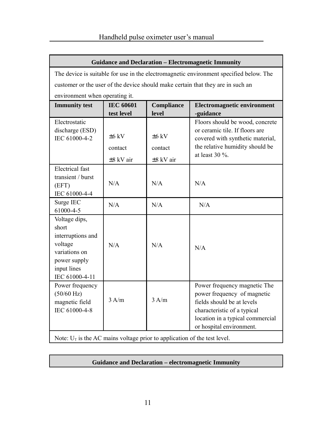г

| <b>Guidance and Declaration - Electromagnetic Immunity</b>                                                               |                                      |                                      |                                                                                                                                                                                          |
|--------------------------------------------------------------------------------------------------------------------------|--------------------------------------|--------------------------------------|------------------------------------------------------------------------------------------------------------------------------------------------------------------------------------------|
| The device is suitable for use in the electromagnetic environment specified below. The                                   |                                      |                                      |                                                                                                                                                                                          |
| customer or the user of the device should make certain that they are in such an                                          |                                      |                                      |                                                                                                                                                                                          |
| environment when operating it.                                                                                           |                                      |                                      |                                                                                                                                                                                          |
| <b>Immunity</b> test                                                                                                     | <b>IEC 60601</b><br>test level       | Compliance<br>level                  | <b>Electromagnetic environment</b><br>-guidance                                                                                                                                          |
| Electrostatic<br>discharge (ESD)<br>IEC 61000-4-2                                                                        | $+6$ kV<br>contact<br>$\pm 8$ kV air | $+6$ kV<br>contact<br>$\pm 8$ kV air | Floors should be wood, concrete<br>or ceramic tile. If floors are<br>covered with synthetic material,<br>the relative humidity should be<br>at least $30\%$ .                            |
| Electrical fast<br>transient / burst<br>(EFT)<br>IEC 61000-4-4                                                           | N/A                                  | N/A                                  | N/A                                                                                                                                                                                      |
| Surge IEC<br>61000-4-5                                                                                                   | N/A                                  | N/A                                  | N/A                                                                                                                                                                                      |
| Voltage dips,<br>short<br>interruptions and<br>voltage<br>variations on<br>power supply<br>input lines<br>IEC 61000-4-11 | N/A                                  | N/A                                  | N/A                                                                                                                                                                                      |
| Power frequency<br>(50/60 Hz)<br>magnetic field<br>IEC 61000-4-8                                                         | 3 A/m                                | 3 A/m                                | Power frequency magnetic The<br>power frequency of magnetic<br>fields should be at levels<br>characteristic of a typical<br>location in a typical commercial<br>or hospital environment. |
| Note: $U_T$ is the AC mains voltage prior to application of the test level.                                              |                                      |                                      |                                                                                                                                                                                          |

٦

Note:  $U_T$  is the AC mains voltage prior to application of the test level.

#### **Guidance and Declaration – electromagnetic Immunity**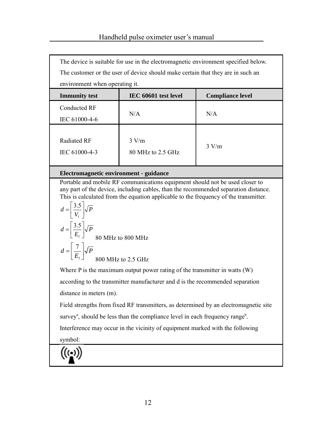| The device is suitable for use in the electromagnetic environment specified below.<br>The customer or the user of device should make certain that they are in such an |                            |                         |  |
|-----------------------------------------------------------------------------------------------------------------------------------------------------------------------|----------------------------|-------------------------|--|
| environment when operating it.                                                                                                                                        |                            |                         |  |
| <b>Immunity test</b>                                                                                                                                                  | IEC 60601 test level       | <b>Compliance level</b> |  |
| Conducted RF                                                                                                                                                          | N/A                        | N/A                     |  |
| IEC 61000-4-6                                                                                                                                                         |                            |                         |  |
| Radiated RF<br>IEC 61000-4-3                                                                                                                                          | 3 V/m<br>80 MHz to 2.5 GHz | 3 V/m                   |  |

#### **Electromagnetic environment - guidance**

Portable and mobile RF communications equipment should not be used closer to any part of the device, including cables, than the recommended separation distance. This is calculated from the equation applicable to the frequency of the transmitter.

$$
d = \left[\frac{3.5}{V_1}\right] \sqrt{P}
$$
  
\n
$$
d = \left[\frac{3.5}{E_1}\right] \sqrt{P}
$$
  
\n
$$
d = \left[\frac{7}{E_1}\right] \sqrt{P}
$$
  
\n80 MHz to 800 MHz  
\n2.5 GHz

Where P is the maximum output power rating of the transmitter in watts (W) according to the transmitter manufacturer and d is the recommended separation

distance in meters (m).

Field strengths from fixed RF transmitters, as determined by an electromagnetic site

survey<sup>a</sup>, should be less than the compliance level in each frequency range<sup>b</sup>.

Interference may occur in the vicinity of equipment marked with the following

symbol:

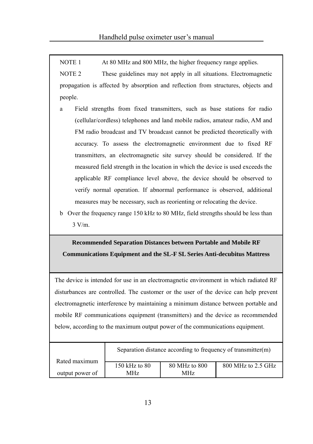NOTE 1 At 80 MHz and 800 MHz, the higher frequency range applies.

NOTE 2 These guidelines may not apply in all situations. Electromagnetic propagation is affected by absorption and reflection from structures, objects and people.

- Field strengths from fixed transmitters, such as base stations for radio (cellular/cordless) telephones and land mobile radios, amateur radio, AM and FM radio broadcast and TV broadcast cannot be predicted theoretically with accuracy. To assess the electromagnetic environment due to fixed RF transmitters, an electromagnetic site survey should be considered. If the measured field strength in the location in which the device is used exceeds the applicable RF compliance level above, the device should be observed to verify normal operation. If abnormal performance is observed, additional measures may be necessary, such as reorienting or relocating the device.
- b Over the frequency range 150 kHz to 80 MHz, field strengths should be less than 3 V/m.

### **Recommended Separation Distances between Portable and Mobile RF Communications Equipment and the SL-F SL Series Anti-decubitus Mattress**

The device is intended for use in an electromagnetic environment in which radiated RF disturbances are controlled. The customer or the user of the device can help prevent electromagnetic interference by maintaining a minimum distance between portable and mobile RF communications equipment (transmitters) and the device as recommended below, according to the maximum output power of the communications equipment.

|                 |               |               | Separation distance according to frequency of transmitter(m) |
|-----------------|---------------|---------------|--------------------------------------------------------------|
| Rated maximum   | 150 kHz to 80 | 80 MHz to 800 | 800 MHz to 2.5 GHz                                           |
| output power of | MHz           | MHz           |                                                              |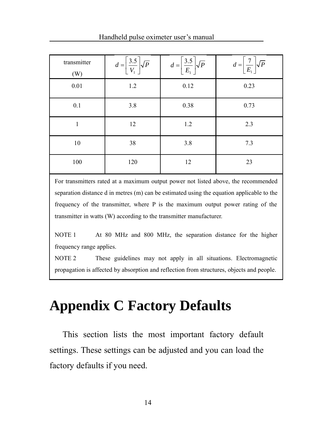|  |  | Handheld pulse oximeter user's manual |
|--|--|---------------------------------------|
|--|--|---------------------------------------|

| transmitter<br>(W) | $d = \left[\frac{3.5}{V_1}\right] \sqrt{P}$ | $d = \left[\frac{3.5}{E_1}\right] \sqrt{P}$ | $d = \left[\frac{7}{E_1}\right] \sqrt{P}$ |
|--------------------|---------------------------------------------|---------------------------------------------|-------------------------------------------|
| 0.01               | 1.2                                         | 0.12                                        | 0.23                                      |
| 0.1                | 3.8                                         | 0.38                                        | 0.73                                      |
|                    | 12                                          | 1.2                                         | 2.3                                       |
| 10                 | 38                                          | 3.8                                         | 7.3                                       |
| 100                | 120                                         | 12                                          | 23                                        |

For transmitters rated at a maximum output power not listed above, the recommended separation distance d in metres (m) can be estimated using the equation applicable to the frequency of the transmitter, where P is the maximum output power rating of the transmitter in watts (W) according to the transmitter manufacturer.

NOTE 1 At 80 MHz and 800 MHz, the separation distance for the higher frequency range applies.

NOTE 2 These guidelines may not apply in all situations. Electromagnetic propagation is affected by absorption and reflection from structures, objects and people.

# **Appendix C Factory Defaults**

This section lists the most important factory default settings. These settings can be adjusted and you can load the factory defaults if you need.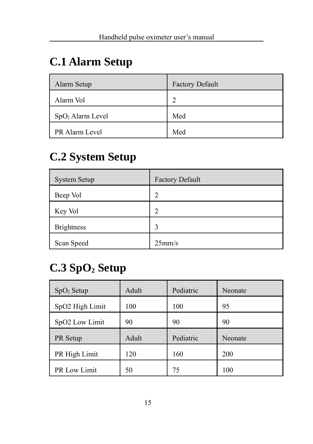# **C.1 Alarm Setup**

| Alarm Setup            | <b>Factory Default</b> |
|------------------------|------------------------|
| Alarm Vol              | 2                      |
| $\log_{2}$ Alarm Level | Med                    |
| <b>PR Alarm Level</b>  | Med                    |

## **C.2 System Setup**

| <b>System Setup</b> | <b>Factory Default</b> |
|---------------------|------------------------|
| Beep Vol            | $\overline{2}$         |
| Key Vol             | $\overline{2}$         |
| <b>Brightness</b>   | ٦                      |
| Scan Speed          | 25 <sub>mm/s</sub>     |

# **C.3 SpO2 Setup**

| $SpO2$ Setup    | Adult | Pediatric | Neonate |
|-----------------|-------|-----------|---------|
| SpO2 High Limit | 100   | 100       | 95      |
| SpO2 Low Limit  | 90    | 90        | 90      |
|                 |       |           |         |
| PR Setup        | Adult | Pediatric | Neonate |
| PR High Limit   | 120   | 160       | 200     |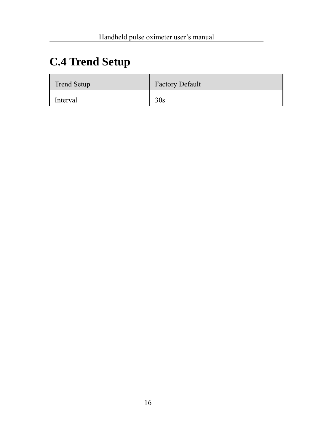# **C.4 Trend Setup**

| Trend Setup | <b>Factory Default</b> |
|-------------|------------------------|
| Interval    | 30s                    |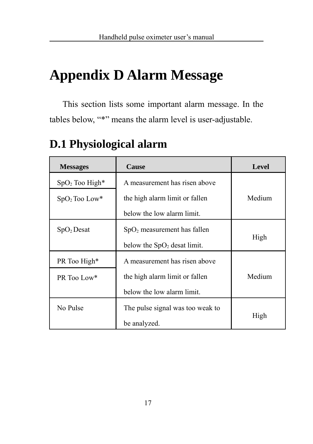# **Appendix D Alarm Message**

This section lists some important alarm message. In the tables below, "\*" means the alarm level is user-adjustable.

| <b>Messages</b>  | Cause                            | Level  |
|------------------|----------------------------------|--------|
| $SpO2$ Too High* | A measurement has risen above    |        |
| $SpO2$ Too Low*  | the high alarm limit or fallen   | Medium |
|                  | below the low alarm limit.       |        |
| $SpO2$ Desat     | $SpO2$ measurement has fallen    |        |
|                  | below the $SpO2$ desat limit.    | High   |
| PR Too High*     | A measurement has risen above    |        |
| PR Too Low*      | the high alarm limit or fallen   | Medium |
|                  | below the low alarm limit.       |        |
| No Pulse         | The pulse signal was too weak to |        |
|                  | be analyzed.                     | High   |

## **D.1 Physiological alarm**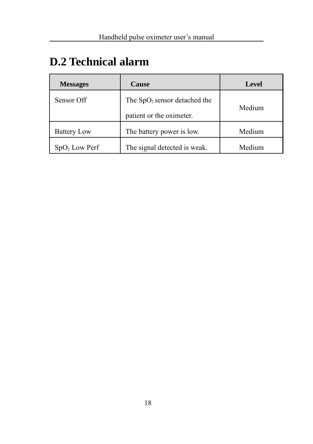# **D.2 Technical alarm**

| <b>Messages</b>    | Cause                                                      | Level  |
|--------------------|------------------------------------------------------------|--------|
| Sensor Off         | The $SpO2$ sensor detached the<br>patient or the oximeter. | Medium |
| <b>Battery Low</b> | The battery power is low.                                  | Medium |
| $SpO2$ Low Perf    | The signal detected is weak.                               | Medium |